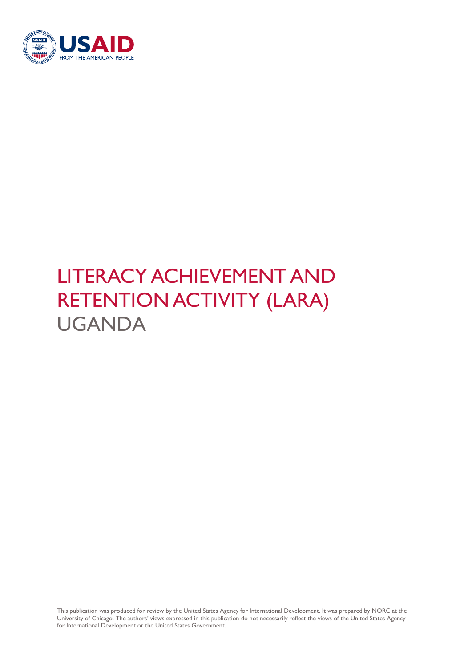

# LITERACY ACHIEVEMENT AND RETENTION ACTIVITY (LARA) UGANDA

This publication was produced for review by the United States Agency for International Development. It was prepared by NORC at the University of Chicago. The authors' views expressed in this publication do not necessarily reflect the views of the United States Agency for International Development or the United States Government.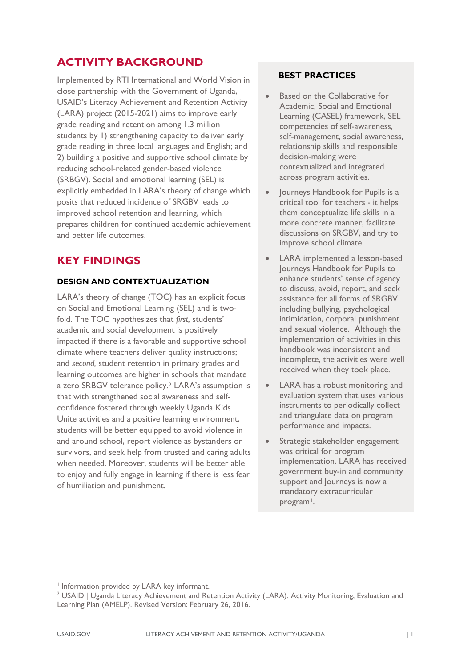## **ACTIVITY BACKGROUND**

Implemented by RTI International and World Vision in close partnership with the Government of Uganda, USAID's Literacy Achievement and Retention Activity (LARA) project (2015-2021) aims to improve early grade reading and retention among 1.3 million students by 1) strengthening capacity to deliver early grade reading in three local languages and English; and 2) building a positive and supportive school climate by reducing school-related gender-based violence (SRBGV). Social and emotional learning (SEL) is explicitly embedded in LARA's theory of change which posits that reduced incidence of SRGBV leads to improved school retention and learning, which prepares children for continued academic achievement and better life outcomes.

# **KEY FINDINGS**

## **DESIGN AND CONTEXTUALIZATION**

LARA's theory of change (TOC) has an explicit focus on Social and Emotional Learning (SEL) and is twofold. The TOC hypothesizes that *first,* students' academic and social development is positively impacted if there is a favorable and supportive school climate where teachers deliver quality instructions; and *second,* student retention in primary grades and learning outcomes are higher in schools that mandate a zero SRBGV tolerance policy.[2](#page-1-0) LARA's assumption is that with strengthened social awareness and selfconfidence fostered through weekly Uganda Kids Unite activities and a positive learning environment, students will be better equipped to avoid violence in and around school, report violence as bystanders or survivors, and seek help from trusted and caring adults when needed. Moreover, students will be better able to enjoy and fully engage in learning if there is less fear of humiliation and punishment.

### **BEST PRACTICES**

- **Based on the Collaborative for** Academic, Social and Emotional Learning (CASEL) framework, SEL competencies of self-awareness, self-management, social awareness, relationship skills and responsible decision-making were contextualized and integrated across program activities.
- Journeys Handbook for Pupils is a critical tool for teachers - it helps them conceptualize life skills in a more concrete manner, facilitate discussions on SRGBV, and try to improve school climate.
- LARA implemented a lesson-based Journeys Handbook for Pupils to enhance students' sense of agency to discuss, avoid, report, and seek assistance for all forms of SRGBV including bullying, psychological intimidation, corporal punishment and sexual violence. Although the implementation of activities in this handbook was inconsistent and incomplete, the activities were well received when they took place.
- LARA has a robust monitoring and evaluation system that uses various instruments to periodically collect and triangulate data on program performance and impacts.
- Strategic stakeholder engagement was critical for program implementation. LARA has received government buy-in and community support and Journeys is now a mandatory extracurricular program<sup>1</sup>.

 $\overline{a}$ 

<span id="page-1-1"></span><sup>&</sup>lt;sup>1</sup> Information provided by LARA key informant.

<span id="page-1-0"></span><sup>&</sup>lt;sup>2</sup> USAID | Uganda Literacy Achievement and Retention Activity (LARA). Activity Monitoring, Evaluation and Learning Plan (AMELP). Revised Version: February 26, 2016.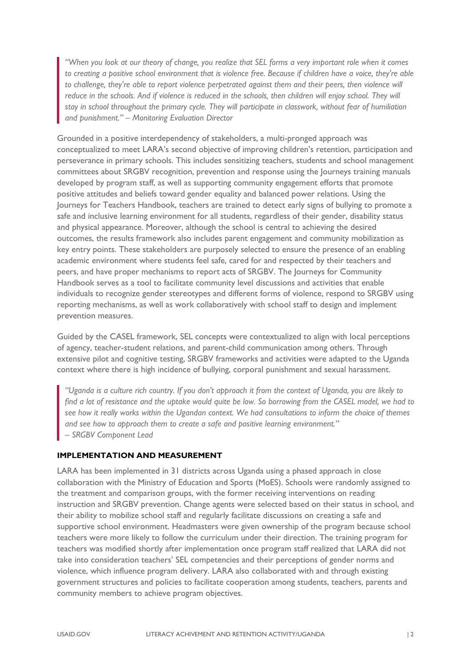*"When you look at our theory of change, you realize that SEL forms a very important role when it comes to creating a positive school environment that is violence free. Because if children have a voice, they're able*  to challenge, they're able to report violence perpetrated against them and their peers, then violence will reduce in the schools. And if violence is reduced in the schools, then children will enjoy school. They will *stay in school throughout the primary cycle. They will participate in classwork, without fear of humiliation and punishment." – Monitoring Evaluation Director*

Grounded in a positive interdependency of stakeholders, a multi-pronged approach was conceptualized to meet LARA's second objective of improving children's retention, participation and perseverance in primary schools. This includes sensitizing teachers, students and school management committees about SRGBV recognition, prevention and response using the Journeys training manuals developed by program staff, as well as supporting community engagement efforts that promote positive attitudes and beliefs toward gender equality and balanced power relations. Using the Journeys for Teachers Handbook, teachers are trained to detect early signs of bullying to promote a safe and inclusive learning environment for all students, regardless of their gender, disability status and physical appearance. Moreover, although the school is central to achieving the desired outcomes, the results framework also includes parent engagement and community mobilization as key entry points. These stakeholders are purposely selected to ensure the presence of an enabling academic environment where students feel safe, cared for and respected by their teachers and peers, and have proper mechanisms to report acts of SRGBV. The Journeys for Community Handbook serves as a tool to facilitate community level discussions and activities that enable individuals to recognize gender stereotypes and different forms of violence, respond to SRGBV using reporting mechanisms, as well as work collaboratively with school staff to design and implement prevention measures.

Guided by the CASEL framework, SEL concepts were contextualized to align with local perceptions of agency, teacher-student relations, and parent-child communication among others. Through extensive pilot and cognitive testing, SRGBV frameworks and activities were adapted to the Uganda context where there is high incidence of bullying, corporal punishment and sexual harassment.

*"Uganda is a culture rich country. If you don't approach it from the context of Uganda, you are likely to find a lot of resistance and the uptake would quite be low. So borrowing from the CASEL model, we had to see how it really works within the Ugandan context. We had consultations to inform the choice of themes and see how to approach them to create a safe and positive learning environment." – SRGBV Component Lead*

### **IMPLEMENTATION AND MEASUREMENT**

LARA has been implemented in 31 districts across Uganda using a phased approach in close collaboration with the Ministry of Education and Sports (MoES). Schools were randomly assigned to the treatment and comparison groups, with the former receiving interventions on reading instruction and SRGBV prevention. Change agents were selected based on their status in school, and their ability to mobilize school staff and regularly facilitate discussions on creating a safe and supportive school environment. Headmasters were given ownership of the program because school teachers were more likely to follow the curriculum under their direction. The training program for teachers was modified shortly after implementation once program staff realized that LARA did not take into consideration teachers' SEL competencies and their perceptions of gender norms and violence, which influence program delivery. LARA also collaborated with and through existing government structures and policies to facilitate cooperation among students, teachers, parents and community members to achieve program objectives.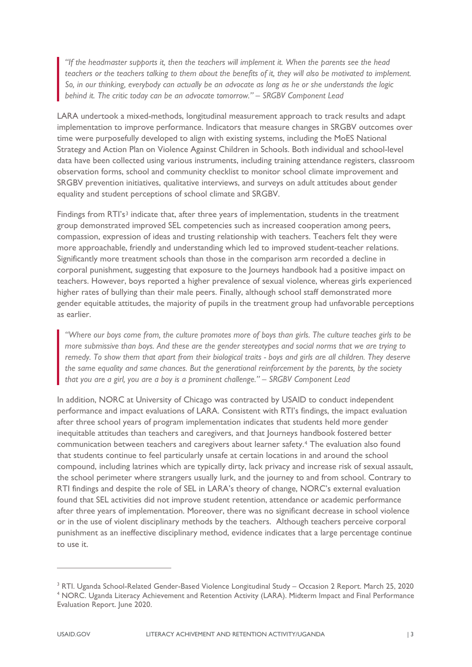*"If the headmaster supports it, then the teachers will implement it. When the parents see the head teachers or the teachers talking to them about the benefits of it, they will also be motivated to implement. So, in our thinking, everybody can actually be an advocate as long as he or she understands the logic behind it. The critic today can be an advocate tomorrow." – SRGBV Component Lead*

LARA undertook a mixed-methods, longitudinal measurement approach to track results and adapt implementation to improve performance. Indicators that measure changes in SRGBV outcomes over time were purposefully developed to align with existing systems, including the MoES National Strategy and Action Plan on Violence Against Children in Schools. Both individual and school-level data have been collected using various instruments, including training attendance registers, classroom observation forms, school and community checklist to monitor school climate improvement and SRGBV prevention initiatives, qualitative interviews, and surveys on adult attitudes about gender equality and student perceptions of school climate and SRGBV.

Findings from RTI's<sup>[3](#page-3-0)</sup> indicate that, after three years of implementation, students in the treatment group demonstrated improved SEL competencies such as increased cooperation among peers, compassion, expression of ideas and trusting relationship with teachers. Teachers felt they were more approachable, friendly and understanding which led to improved student-teacher relations. Significantly more treatment schools than those in the comparison arm recorded a decline in corporal punishment, suggesting that exposure to the Journeys handbook had a positive impact on teachers. However, boys reported a higher prevalence of sexual violence, whereas girls experienced higher rates of bullying than their male peers. Finally, although school staff demonstrated more gender equitable attitudes, the majority of pupils in the treatment group had unfavorable perceptions as earlier.

*"Where our boys come from, the culture promotes more of boys than girls. The culture teaches girls to be more submissive than boys. And these are the gender stereotypes and social norms that we are trying to remedy. To show them that apart from their biological traits - boys and girls are all children. They deserve the same equality and same chances. But the generational reinforcement by the parents, by the society that you are a girl, you are a boy is a prominent challenge." – SRGBV Component Lead*

In addition, NORC at University of Chicago was contracted by USAID to conduct independent performance and impact evaluations of LARA. Consistent with RTI's findings, the impact evaluation after three school years of program implementation indicates that students held more gender inequitable attitudes than teachers and caregivers, and that Journeys handbook fostered better communication between teachers and caregivers about learner safety.[4](#page-3-1) The evaluation also found that students continue to feel particularly unsafe at certain locations in and around the school compound, including latrines which are typically dirty, lack privacy and increase risk of sexual assault, the school perimeter where strangers usually lurk, and the journey to and from school. Contrary to RTI findings and despite the role of SEL in LARA's theory of change, NORC's external evaluation found that SEL activities did not improve student retention, attendance or academic performance after three years of implementation. Moreover, there was no significant decrease in school violence or in the use of violent disciplinary methods by the teachers. Although teachers perceive corporal punishment as an ineffective disciplinary method, evidence indicates that a large percentage continue to use it.

 $\overline{a}$ 

<span id="page-3-1"></span><span id="page-3-0"></span><sup>3</sup> RTI. Uganda School-Related Gender-Based Violence Longitudinal Study – Occasion 2 Report. March 25, 2020 <sup>4</sup> NORC. Uganda Literacy Achievement and Retention Activity (LARA). Midterm Impact and Final Performance Evaluation Report. June 2020.